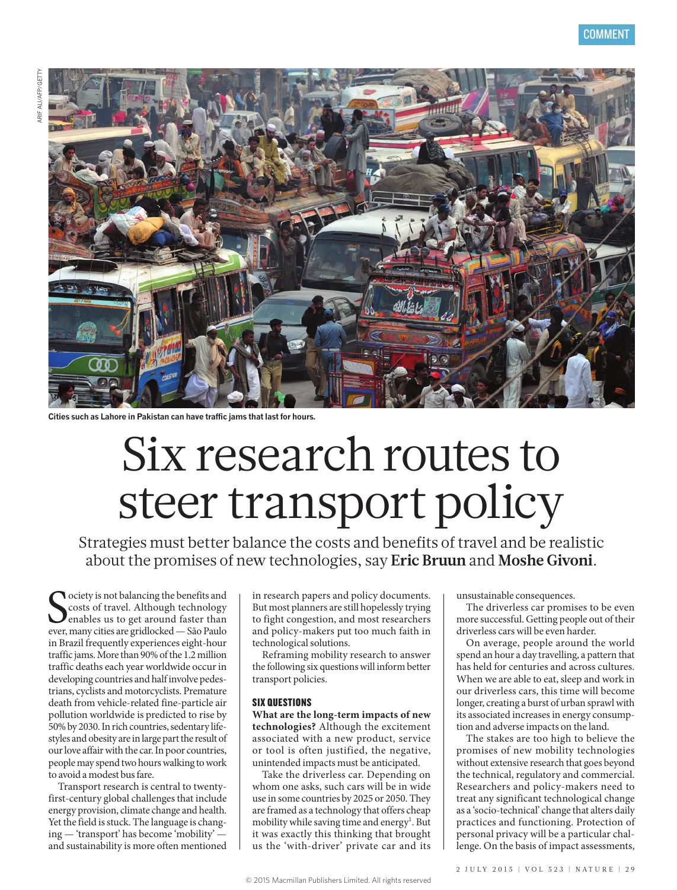

**Cities such as Lahore in Pakistan can have traffic jams that last for hours.**

# Six research routes to steer transport policy

Strategies must better balance the costs and benefits of travel and be realistic about the promises of new technologies, say **Eric Bruun** and **Moshe Givoni**.

Society is not balancing the benefits and<br>Costs of travel. Although technology<br>enables us to get around faster than<br>ever, many cities are gridlocked — São Paulo **N** ociety is not balancing the benefits and costs of travel. Although technology **J** enables us to get around faster than in Brazil frequently experiences eight-hour traffic jams. More than 90% of the 1.2 million traffic deaths each year worldwide occur in developing countries and half involve pedestrians, cyclists and motorcyclists. Premature death from vehicle-related fine-particle air pollution worldwide is predicted to rise by 50% by 2030. In rich countries, sedentary lifestyles and obesity are in large part the result of our love affair with the car. In poor countries, people may spend two hours walking to work to avoid a modest bus fare.

Transport research is central to twentyfirst-century global challenges that include energy provision, climate change and health. Yet the field is stuck. The language is changing — 'transport' has become 'mobility' and sustainability is more often mentioned

in research papers and policy documents. But most planners are still hopelessly trying to fight congestion, and most researchers and policy-makers put too much faith in technological solutions.

Reframing mobility research to answer the following six questions will inform better transport policies.

#### SIX QUESTIONS

**What are the long-term impacts of new technologies?** Although the excitement associated with a new product, service or tool is often justified, the negative, unintended impacts must be anticipated.

Take the driverless car. Depending on whom one asks, such cars will be in wide use in some countries by 2025 or 2050. They are framed as a technology that offers cheap mobility while saving time and energy<sup>1</sup>. But it was exactly this thinking that brought us the 'with-driver' private car and its unsustainable consequences.

The driverless car promises to be even more successful. Getting people out of their driverless cars will be even harder.

On average, people around the world spend an hour a day travelling, a pattern that has held for centuries and across cultures. When we are able to eat, sleep and work in our driverless cars, this time will become longer, creating a burst of urban sprawl with its associated increases in energy consumption and adverse impacts on the land.

The stakes are too high to believe the promises of new mobility technologies without extensive research that goes beyond the technical, regulatory and commercial. Researchers and policy-makers need to treat any significant technological change as a 'socio-technical' change that alters daily practices and functioning. Protection of personal privacy will be a particular challenge. On the basis of impact assessments,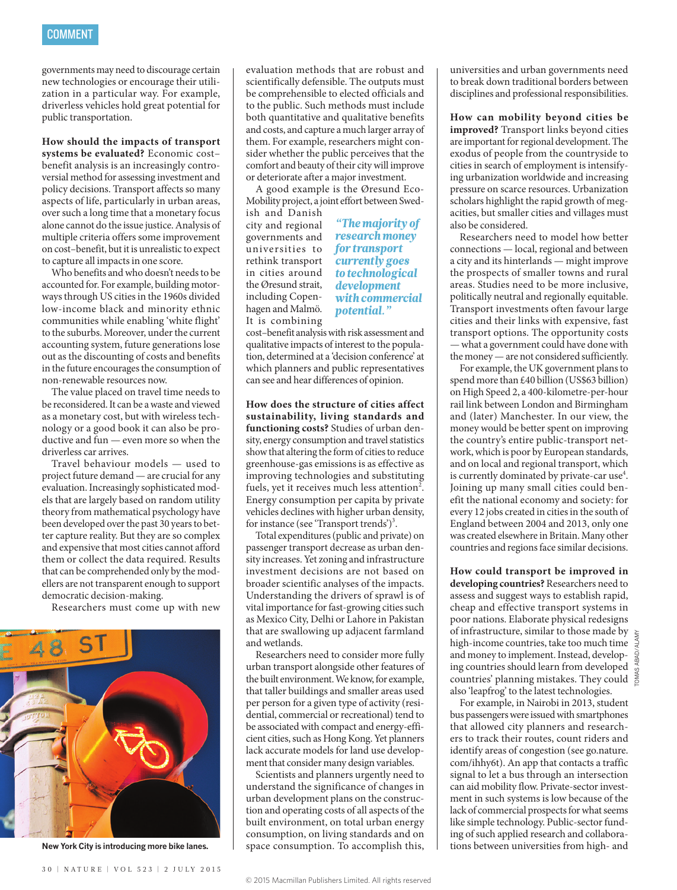governments may need to discourage certain new technologies or encourage their utilization in a particular way. For example, driverless vehicles hold great potential for public transportation.

**How should the impacts of transport systems be evaluated?** Economic cost– benefit analysis is an increasingly controversial method for assessing investment and policy decisions. Transport affects so many aspects of life, particularly in urban areas, over such a long time that a monetary focus alone cannot do the issue justice. Analysis of multiple criteria offers some improvement on cost–benefit, but it is unrealistic to expect to capture all impacts in one score.

Who benefits and who doesn't needs to be accounted for. For example, building motorways through US cities in the 1960s divided low-income black and minority ethnic communities while enabling 'white flight' to the suburbs. Moreover, under the current accounting system, future generations lose out as the discounting of costs and benefits in the future encourages the consumption of non-renewable resources now.

The value placed on travel time needs to be reconsidered. It can be a waste and viewed as a monetary cost, but with wireless technology or a good book it can also be productive and fun — even more so when the driverless car arrives.

Travel behaviour models — used to project future demand — are crucial for any evaluation. Increasingly sophisticated models that are largely based on random utility theory from mathematical psychology have been developed over the past 30 years to better capture reality. But they are so complex and expensive that most cities cannot afford them or collect the data required. Results that can be comprehended only by the modellers are not transparent enough to support democratic decision-making.

Researchers must come up with new



evaluation methods that are robust and scientifically defensible. The outputs must be comprehensible to elected officials and to the public. Such methods must include both quantitative and qualitative benefits and costs, and capture a much larger array of them. For example, researchers might consider whether the public perceives that the comfort and beauty of their city will improve or deteriorate after a major investment.

A good example is the Øresund Eco-Mobility project, a joint effort between Swedish and Danish

city and regional governments and universities to rethink transport in cities around the Øresund strait, including Copenhagen and Malmö. It is combining

### *"The majority of research money for transport currently goes to technological development with commercial potential."*

cost–benefit analysis with risk assessment and qualitative impacts of interest to the population, determined at a 'decision conference' at which planners and public representatives can see and hear differences of opinion.

**How does the structure of cities affect sustainability, living standards and functioning costs?** Studies of urban density, energy consumption and travel statistics show that altering the form of cities to reduce greenhouse-gas emissions is as effective as improving technologies and substituting fuels, yet it receives much less attention<sup>2</sup>. Energy consumption per capita by private vehicles declines with higher urban density, for instance (see 'Transport trends')<sup>3</sup>.

Total expenditures (public and private) on passenger transport decrease as urban density increases. Yet zoning and infrastructure investment decisions are not based on broader scientific analyses of the impacts. Understanding the drivers of sprawl is of vital importance for fast-growing cities such as Mexico City, Delhi or Lahore in Pakistan that are swallowing up adjacent farmland and wetlands.

Researchers need to consider more fully urban transport alongside other features of the built environment. We know, for example, that taller buildings and smaller areas used per person for a given type of activity (residential, commercial or recreational) tend to be associated with compact and energy-efficient cities, such as Hong Kong. Yet planners lack accurate models for land use development that consider many design variables.

Scientists and planners urgently need to understand the significance of changes in urban development plans on the construction and operating costs of all aspects of the built environment, on total urban energy consumption, on living standards and on space consumption. To accomplish this, New York City is introducing more bike lanes. <br>I space consumption. To accomplish this, intended wiversities from high- and

universities and urban governments need to break down traditional borders between disciplines and professional responsibilities.

**How can mobility beyond cities be improved?** Transport links beyond cities are important for regional development. The exodus of people from the countryside to cities in search of employment is intensifying urbanization worldwide and increasing pressure on scarce resources. Urbanization scholars highlight the rapid growth of megacities, but smaller cities and villages must also be considered.

Researchers need to model how better connections — local, regional and between a city and its hinterlands — might improve the prospects of smaller towns and rural areas. Studies need to be more inclusive, politically neutral and regionally equitable. Transport investments often favour large cities and their links with expensive, fast transport options. The opportunity costs — what a government could have done with the money — are not considered sufficiently.

For example, the UK government plans to spend more than £40 billion (US\$63 billion) on High Speed 2, a 400-kilometre-per-hour rail link between London and Birmingham and (later) Manchester. In our view, the money would be better spent on improving the country's entire public-transport network, which is poor by European standards, and on local and regional transport, which is currently dominated by private-car use<sup>4</sup>. Joining up many small cities could benefit the national economy and society: for every 12 jobs created in cities in the south of England between 2004 and 2013, only one was created elsewhere in Britain. Many other countries and regions face similar decisions.

**How could transport be improved in developing countries?** Researchers need to assess and suggest ways to establish rapid, cheap and effective transport systems in poor nations. Elaborate physical redesigns of infrastructure, similar to those made by high-income countries, take too much time and money to implement. Instead, developing countries should learn from developed countries' planning mistakes. They could also 'leapfrog' to the latest technologies.

For example, in Nairobi in 2013, student bus passengers were issued with smartphones that allowed city planners and researchers to track their routes, count riders and identify areas of congestion (see go.nature. com/ihhy6t). An app that contacts a traffic signal to let a bus through an intersection can aid mobility flow. Private-sector investment in such systems is low because of the lack of commercial prospects for what seems like simple technology. Public-sector funding of such applied research and collabora-